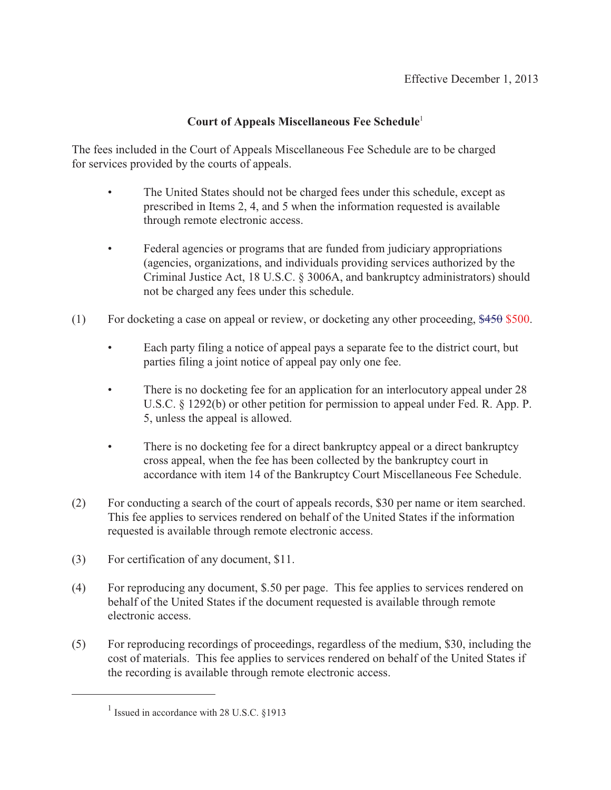## **Court of Appeals Miscellaneous Fee Schedule**<sup>1</sup>

The fees included in the Court of Appeals Miscellaneous Fee Schedule are to be charged for services provided by the courts of appeals.

- The United States should not be charged fees under this schedule, except as prescribed in Items 2, 4, and 5 when the information requested is available through remote electronic access.
- Federal agencies or programs that are funded from judiciary appropriations (agencies, organizations, and individuals providing services authorized by the Criminal Justice Act, 18 U.S.C. § 3006A, and bankruptcy administrators) should not be charged any fees under this schedule.
- (1) For docketing a case on appeal or review, or docketing any other proceeding,  $\frac{$450}{$450}$ .
	- Each party filing a notice of appeal pays a separate fee to the district court, but parties filing a joint notice of appeal pay only one fee.
	- There is no docketing fee for an application for an interlocutory appeal under 28 U.S.C. § 1292(b) or other petition for permission to appeal under Fed. R. App. P. 5, unless the appeal is allowed.
	- There is no docketing fee for a direct bankruptcy appeal or a direct bankruptcy cross appeal, when the fee has been collected by the bankruptcy court in accordance with item 14 of the Bankruptcy Court Miscellaneous Fee Schedule.
- (2) For conducting a search of the court of appeals records, \$30 per name or item searched. This fee applies to services rendered on behalf of the United States if the information requested is available through remote electronic access.
- (3) For certification of any document, \$11.
- (4) For reproducing any document, \$.50 per page. This fee applies to services rendered on behalf of the United States if the document requested is available through remote electronic access.
- (5) For reproducing recordings of proceedings, regardless of the medium, \$30, including the cost of materials. This fee applies to services rendered on behalf of the United States if the recording is available through remote electronic access.

 $\frac{1}{1}$  Issued in accordance with 28 U.S.C. §1913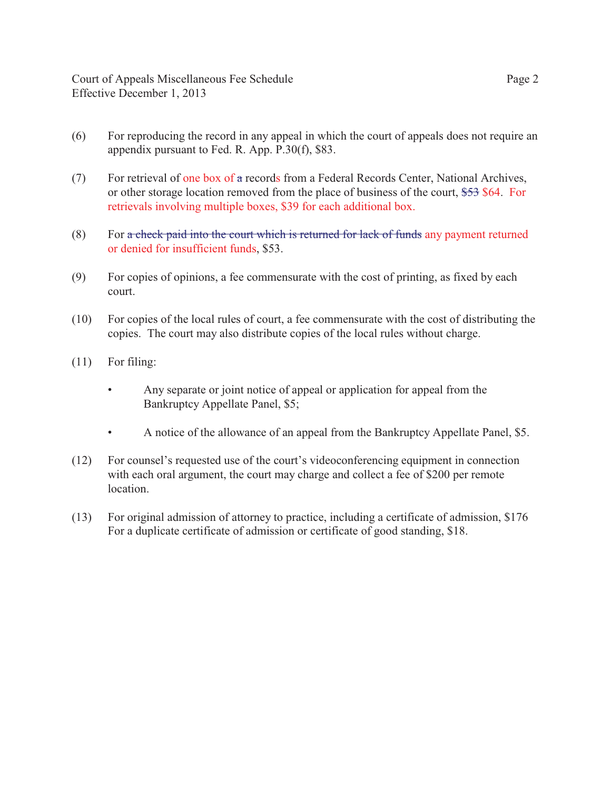- (6) For reproducing the record in any appeal in which the court of appeals does not require an appendix pursuant to Fed. R. App. P.30(f), \$83.
- (7) For retrieval of one box of a records from a Federal Records Center, National Archives, or other storage location removed from the place of business of the court, \$53 \$64. For retrievals involving multiple boxes, \$39 for each additional box.
- (8) For a check paid into the court which is returned for lack of funds any payment returned or denied for insufficient funds, \$53.
- (9) For copies of opinions, a fee commensurate with the cost of printing, as fixed by each court.
- (10) For copies of the local rules of court, a fee commensurate with the cost of distributing the copies. The court may also distribute copies of the local rules without charge.
- (11) For filing:
	- Any separate or joint notice of appeal or application for appeal from the Bankruptcy Appellate Panel, \$5;
	- A notice of the allowance of an appeal from the Bankruptcy Appellate Panel, \$5.
- (12) For counsel's requested use of the court's videoconferencing equipment in connection with each oral argument, the court may charge and collect a fee of \$200 per remote location.
- (13) For original admission of attorney to practice, including a certificate of admission, \$176 For a duplicate certificate of admission or certificate of good standing, \$18.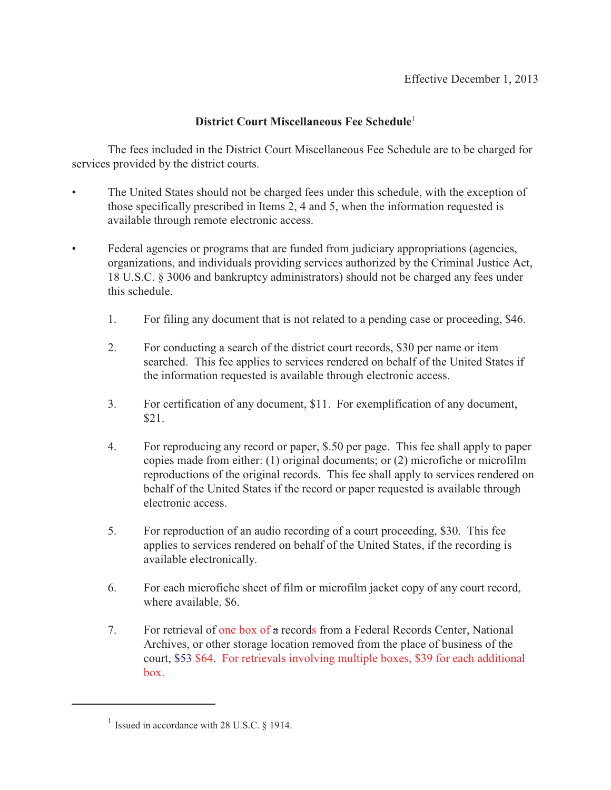## **District Court Miscellaneous Fee Schedule**<sup>1</sup>

The fees included in the District Court Miscellaneous Fee Schedule are to be charged for services provided by the district courts.

- The United States should not be charged fees under this schedule, with the exception of those specifically prescribed in Items 2, 4 and 5, when the information requested is available through remote electronic access.
- Federal agencies or programs that are funded from judiciary appropriations (agencies, organizations, and individuals providing services authorized by the Criminal Justice Act, 18 U.S.C. § 3006 and bankruptcy administrators) should not be charged any fees under this schedule.
	- 1. For filing any document that is not related to a pending case or proceeding, \$46.
	- 2. For conducting a search of the district court records, \$30 per name or item searched. This fee applies to services rendered on behalf of the United States if the information requested is available through electronic access.
	- 3. For certification of any document, \$11. For exemplification of any document, \$21.
	- 4. For reproducing any record or paper, \$.50 per page. This fee shall apply to paper copies made from either: (1) original documents; or (2) microfiche or microfilm reproductions of the original records. This fee shall apply to services rendered on behalf of the United States if the record or paper requested is available through electronic access.
	- 5. For reproduction of an audio recording of a court proceeding, \$30. This fee applies to services rendered on behalf of the United States, if the recording is available electronically.
	- 6. For each microfiche sheet of film or microfilm jacket copy of any court record, where available, \$6.
	- 7. For retrieval of one box of  $\alpha$  records from a Federal Records Center, National Archives, or other storage location removed from the place of business of the court, \$53 \$64. For retrievals involving multiple boxes, \$39 for each additional box.

<sup>&</sup>lt;sup>1</sup> Issued in accordance with 28 U.S.C.  $\S$  1914.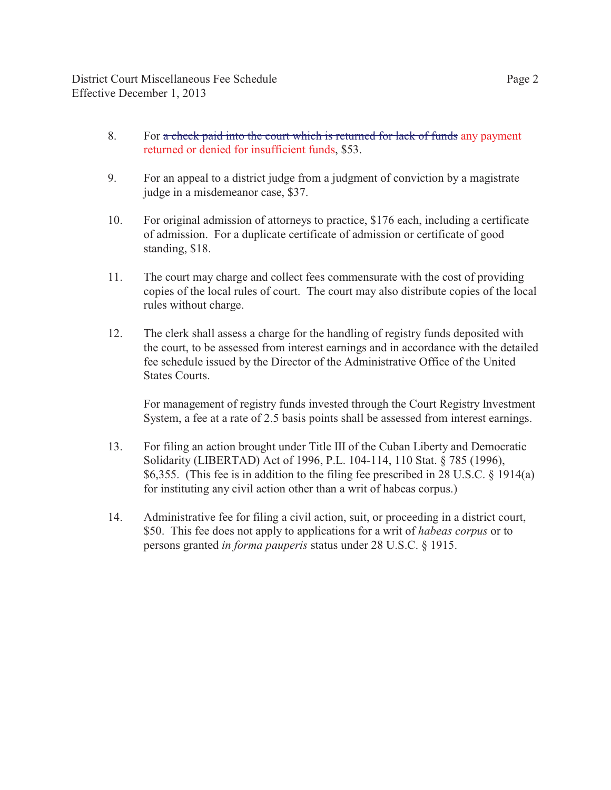- 8. For a check paid into the court which is returned for lack of funds any payment returned or denied for insufficient funds, \$53.
- 9. For an appeal to a district judge from a judgment of conviction by a magistrate judge in a misdemeanor case, \$37.
- 10. For original admission of attorneys to practice, \$176 each, including a certificate of admission. For a duplicate certificate of admission or certificate of good standing, \$18.
- 11. The court may charge and collect fees commensurate with the cost of providing copies of the local rules of court. The court may also distribute copies of the local rules without charge.
- 12. The clerk shall assess a charge for the handling of registry funds deposited with the court, to be assessed from interest earnings and in accordance with the detailed fee schedule issued by the Director of the Administrative Office of the United States Courts.

For management of registry funds invested through the Court Registry Investment System, a fee at a rate of 2.5 basis points shall be assessed from interest earnings.

- 13. For filing an action brought under Title III of the Cuban Liberty and Democratic Solidarity (LIBERTAD) Act of 1996, P.L. 104-114, 110 Stat. § 785 (1996), \$6,355. (This fee is in addition to the filing fee prescribed in 28 U.S.C. § 1914(a) for instituting any civil action other than a writ of habeas corpus.)
- 14. Administrative fee for filing a civil action, suit, or proceeding in a district court, \$50. This fee does not apply to applications for a writ of *habeas corpus* or to persons granted *in forma pauperis* status under 28 U.S.C. § 1915.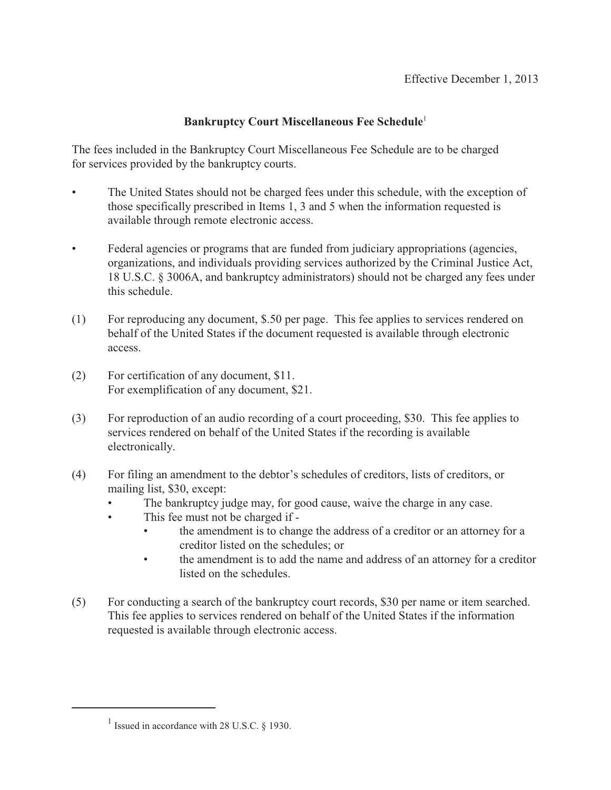# **Bankruptcy Court Miscellaneous Fee Schedule**<sup>1</sup>

The fees included in the Bankruptcy Court Miscellaneous Fee Schedule are to be charged for services provided by the bankruptcy courts.

- The United States should not be charged fees under this schedule, with the exception of those specifically prescribed in Items 1, 3 and 5 when the information requested is available through remote electronic access.
- Federal agencies or programs that are funded from judiciary appropriations (agencies, organizations, and individuals providing services authorized by the Criminal Justice Act, 18 U.S.C. § 3006A, and bankruptcy administrators) should not be charged any fees under this schedule.
- (1) For reproducing any document, \$.50 per page. This fee applies to services rendered on behalf of the United States if the document requested is available through electronic access.
- (2) For certification of any document, \$11. For exemplification of any document, \$21.
- (3) For reproduction of an audio recording of a court proceeding, \$30. This fee applies to services rendered on behalf of the United States if the recording is available electronically.
- (4) For filing an amendment to the debtor's schedules of creditors, lists of creditors, or mailing list, \$30, except:
	- The bankruptcy judge may, for good cause, waive the charge in any case.
	- This fee must not be charged if -
		- the amendment is to change the address of a creditor or an attorney for a creditor listed on the schedules; or
		- the amendment is to add the name and address of an attorney for a creditor listed on the schedules.
- (5) For conducting a search of the bankruptcy court records, \$30 per name or item searched. This fee applies to services rendered on behalf of the United States if the information requested is available through electronic access.

<sup>&</sup>lt;sup>1</sup> Issued in accordance with 28 U.S.C.  $\S$  1930.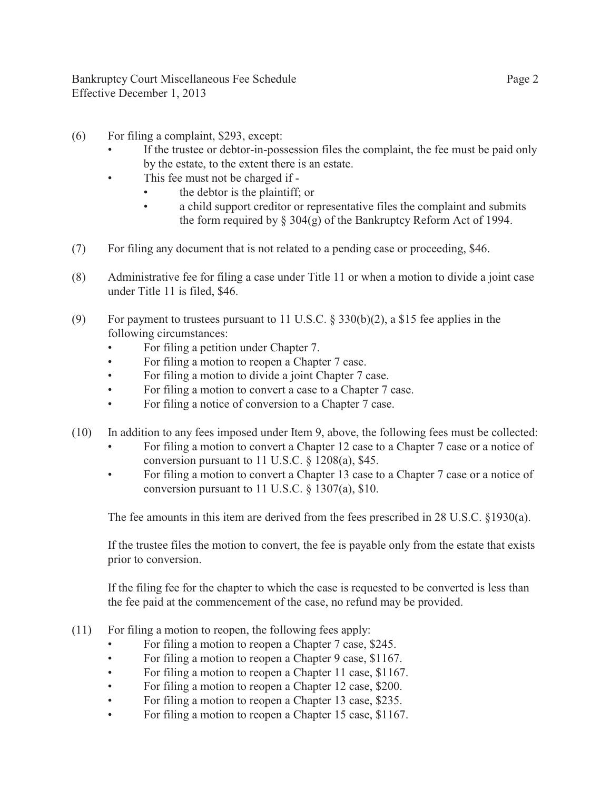Bankruptcy Court Miscellaneous Fee Schedule Page 2 Effective December 1, 2013

- (6) For filing a complaint, \$293, except:
	- If the trustee or debtor-in-possession files the complaint, the fee must be paid only by the estate, to the extent there is an estate.
		- This fee must not be charged if -
			- the debtor is the plaintiff; or
			- a child support creditor or representative files the complaint and submits the form required by  $\S 304(g)$  of the Bankruptcy Reform Act of 1994.
- (7) For filing any document that is not related to a pending case or proceeding, \$46.
- (8) Administrative fee for filing a case under Title 11 or when a motion to divide a joint case under Title 11 is filed, \$46.
- (9) For payment to trustees pursuant to 11 U.S.C.  $\S 330(b)(2)$ , a \$15 fee applies in the following circumstances:
	- For filing a petition under Chapter 7.
	- For filing a motion to reopen a Chapter 7 case.
	- For filing a motion to divide a joint Chapter 7 case.
	- For filing a motion to convert a case to a Chapter 7 case.
	- For filing a notice of conversion to a Chapter 7 case.
- (10) In addition to any fees imposed under Item 9, above, the following fees must be collected:
	- For filing a motion to convert a Chapter 12 case to a Chapter 7 case or a notice of conversion pursuant to 11 U.S.C. § 1208(a), \$45.
	- For filing a motion to convert a Chapter 13 case to a Chapter 7 case or a notice of conversion pursuant to 11 U.S.C. § 1307(a), \$10.

The fee amounts in this item are derived from the fees prescribed in 28 U.S.C. §1930(a).

If the trustee files the motion to convert, the fee is payable only from the estate that exists prior to conversion.

If the filing fee for the chapter to which the case is requested to be converted is less than the fee paid at the commencement of the case, no refund may be provided.

- (11) For filing a motion to reopen, the following fees apply:
	- For filing a motion to reopen a Chapter 7 case, \$245.
	- For filing a motion to reopen a Chapter 9 case, \$1167.
	- For filing a motion to reopen a Chapter 11 case, \$1167.
	- For filing a motion to reopen a Chapter 12 case, \$200.
	- For filing a motion to reopen a Chapter 13 case, \$235.
	- For filing a motion to reopen a Chapter 15 case, \$1167.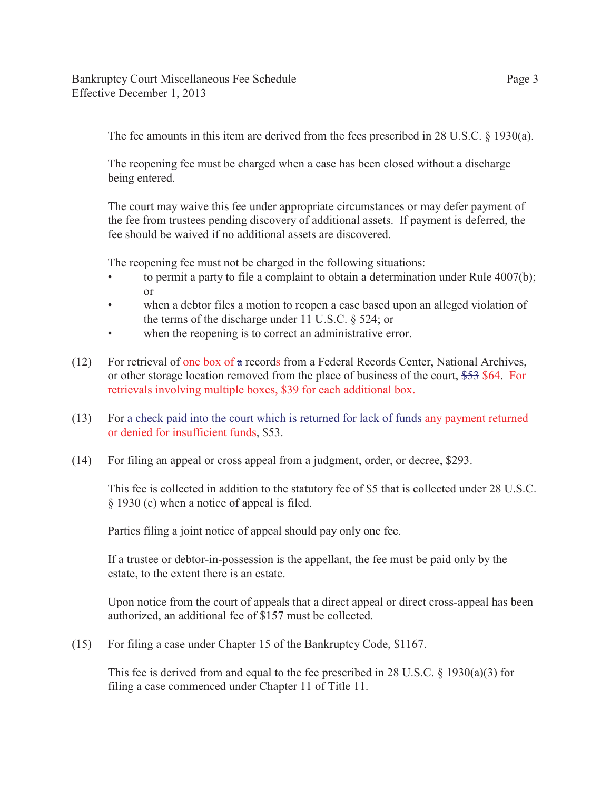The fee amounts in this item are derived from the fees prescribed in 28 U.S.C. § 1930(a).

The reopening fee must be charged when a case has been closed without a discharge being entered.

The court may waive this fee under appropriate circumstances or may defer payment of the fee from trustees pending discovery of additional assets. If payment is deferred, the fee should be waived if no additional assets are discovered.

The reopening fee must not be charged in the following situations:

- to permit a party to file a complaint to obtain a determination under Rule 4007(b); or
- when a debtor files a motion to reopen a case based upon an alleged violation of the terms of the discharge under 11 U.S.C. § 524; or
- when the reopening is to correct an administrative error.
- (12) For retrieval of one box of  $\alpha$  records from a Federal Records Center, National Archives, or other storage location removed from the place of business of the court, \$53 \$64. For retrievals involving multiple boxes, \$39 for each additional box.
- (13) For a check paid into the court which is returned for lack of funds any payment returned or denied for insufficient funds, \$53.
- (14) For filing an appeal or cross appeal from a judgment, order, or decree, \$293.

This fee is collected in addition to the statutory fee of \$5 that is collected under 28 U.S.C. § 1930 (c) when a notice of appeal is filed.

Parties filing a joint notice of appeal should pay only one fee.

If a trustee or debtor-in-possession is the appellant, the fee must be paid only by the estate, to the extent there is an estate.

Upon notice from the court of appeals that a direct appeal or direct cross-appeal has been authorized, an additional fee of \$157 must be collected.

(15) For filing a case under Chapter 15 of the Bankruptcy Code, \$1167.

This fee is derived from and equal to the fee prescribed in 28 U.S.C. § 1930(a)(3) for filing a case commenced under Chapter 11 of Title 11.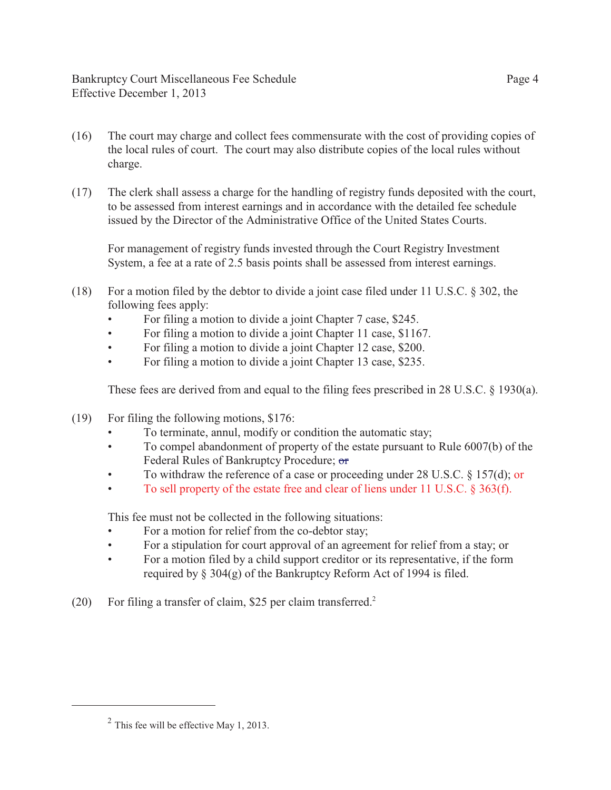- (16) The court may charge and collect fees commensurate with the cost of providing copies of the local rules of court. The court may also distribute copies of the local rules without charge.
- (17) The clerk shall assess a charge for the handling of registry funds deposited with the court, to be assessed from interest earnings and in accordance with the detailed fee schedule issued by the Director of the Administrative Office of the United States Courts.

For management of registry funds invested through the Court Registry Investment System, a fee at a rate of 2.5 basis points shall be assessed from interest earnings.

- (18) For a motion filed by the debtor to divide a joint case filed under 11 U.S.C. § 302, the following fees apply:
	- For filing a motion to divide a joint Chapter 7 case, \$245.
	- For filing a motion to divide a joint Chapter 11 case, \$1167.
	- For filing a motion to divide a joint Chapter 12 case, \$200.
	- For filing a motion to divide a joint Chapter 13 case, \$235.

These fees are derived from and equal to the filing fees prescribed in 28 U.S.C. § 1930(a).

- (19) For filing the following motions, \$176:
	- To terminate, annul, modify or condition the automatic stay;
	- To compel abandonment of property of the estate pursuant to Rule 6007(b) of the Federal Rules of Bankruptcy Procedure; or
	- To withdraw the reference of a case or proceeding under 28 U.S.C. § 157(d); or
	- To sell property of the estate free and clear of liens under 11 U.S.C. § 363(f).

This fee must not be collected in the following situations:

- For a motion for relief from the co-debtor stay;
- For a stipulation for court approval of an agreement for relief from a stay; or
- For a motion filed by a child support creditor or its representative, if the form required by § 304(g) of the Bankruptcy Reform Act of 1994 is filed.
- (20) For filing a transfer of claim, \$25 per claim transferred. 2

 $<sup>2</sup>$  This fee will be effective May 1, 2013.</sup>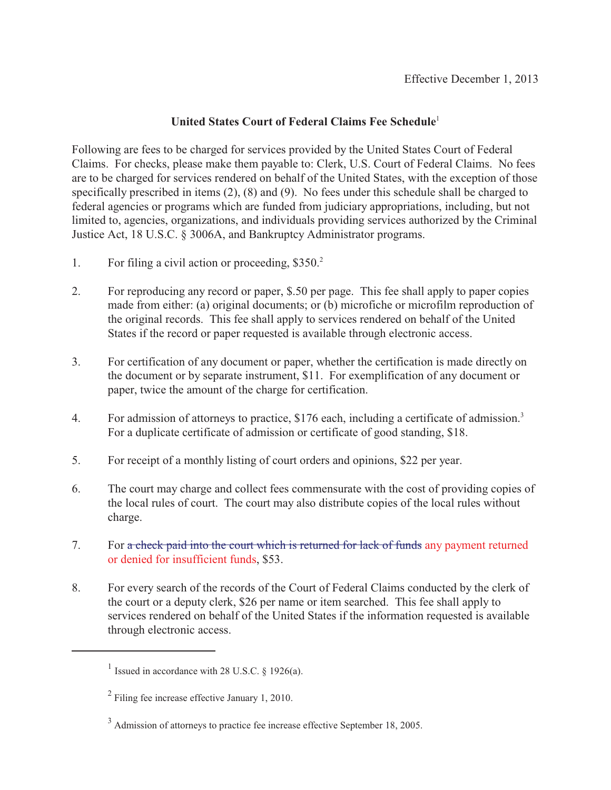# **United States Court of Federal Claims Fee Schedule**<sup>1</sup>

Following are fees to be charged for services provided by the United States Court of Federal Claims. For checks, please make them payable to: Clerk, U.S. Court of Federal Claims. No fees are to be charged for services rendered on behalf of the United States, with the exception of those specifically prescribed in items (2), (8) and (9). No fees under this schedule shall be charged to federal agencies or programs which are funded from judiciary appropriations, including, but not limited to, agencies, organizations, and individuals providing services authorized by the Criminal Justice Act, 18 U.S.C. § 3006A, and Bankruptcy Administrator programs.

- 1. For filing a civil action or proceeding, \$350.<sup>2</sup>
- 2. For reproducing any record or paper, \$.50 per page. This fee shall apply to paper copies made from either: (a) original documents; or (b) microfiche or microfilm reproduction of the original records. This fee shall apply to services rendered on behalf of the United States if the record or paper requested is available through electronic access.
- 3. For certification of any document or paper, whether the certification is made directly on the document or by separate instrument, \$11. For exemplification of any document or paper, twice the amount of the charge for certification.
- 4. For admission of attorneys to practice, \$176 each, including a certificate of admission. 3 For a duplicate certificate of admission or certificate of good standing, \$18.
- 5. For receipt of a monthly listing of court orders and opinions, \$22 per year.
- 6. The court may charge and collect fees commensurate with the cost of providing copies of the local rules of court. The court may also distribute copies of the local rules without charge.
- 7. For a check paid into the court which is returned for lack of funds any payment returned or denied for insufficient funds, \$53.
- 8. For every search of the records of the Court of Federal Claims conducted by the clerk of the court or a deputy clerk, \$26 per name or item searched. This fee shall apply to services rendered on behalf of the United States if the information requested is available through electronic access.

<sup>&</sup>lt;sup>1</sup> Issued in accordance with 28 U.S.C. § 1926(a).

 $2$  Filing fee increase effective January 1, 2010.

<sup>&</sup>lt;sup>3</sup> Admission of attorneys to practice fee increase effective September 18, 2005.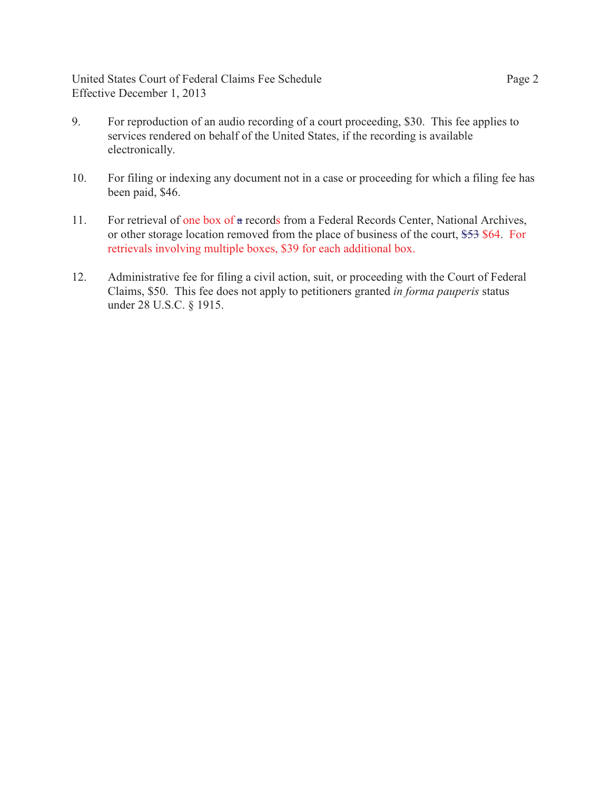United States Court of Federal Claims Fee Schedule Page 2 Effective December 1, 2013

- 9. For reproduction of an audio recording of a court proceeding, \$30. This fee applies to services rendered on behalf of the United States, if the recording is available electronically.
- 10. For filing or indexing any document not in a case or proceeding for which a filing fee has been paid, \$46.
- 11. For retrieval of one box of a records from a Federal Records Center, National Archives, or other storage location removed from the place of business of the court, \$53 \$64. For retrievals involving multiple boxes, \$39 for each additional box.
- 12. Administrative fee for filing a civil action, suit, or proceeding with the Court of Federal Claims, \$50. This fee does not apply to petitioners granted *in forma pauperis* status under 28 U.S.C. § 1915.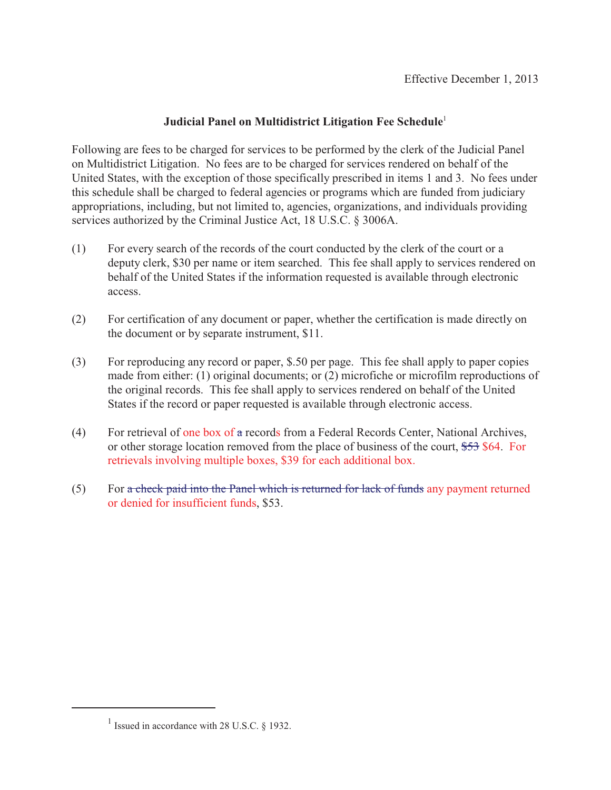# **Judicial Panel on Multidistrict Litigation Fee Schedule**<sup>1</sup>

Following are fees to be charged for services to be performed by the clerk of the Judicial Panel on Multidistrict Litigation. No fees are to be charged for services rendered on behalf of the United States, with the exception of those specifically prescribed in items 1 and 3. No fees under this schedule shall be charged to federal agencies or programs which are funded from judiciary appropriations, including, but not limited to, agencies, organizations, and individuals providing services authorized by the Criminal Justice Act, 18 U.S.C. § 3006A.

- (1) For every search of the records of the court conducted by the clerk of the court or a deputy clerk, \$30 per name or item searched. This fee shall apply to services rendered on behalf of the United States if the information requested is available through electronic access.
- (2) For certification of any document or paper, whether the certification is made directly on the document or by separate instrument, \$11.
- (3) For reproducing any record or paper, \$.50 per page. This fee shall apply to paper copies made from either: (1) original documents; or (2) microfiche or microfilm reproductions of the original records. This fee shall apply to services rendered on behalf of the United States if the record or paper requested is available through electronic access.
- (4) For retrieval of one box of  $\alpha$  records from a Federal Records Center, National Archives, or other storage location removed from the place of business of the court, \$53 \$64. For retrievals involving multiple boxes, \$39 for each additional box.
- (5) For a check paid into the Panel which is returned for lack of funds any payment returned or denied for insufficient funds, \$53.

<sup>&</sup>lt;sup>1</sup> Issued in accordance with 28 U.S.C.  $\S$  1932.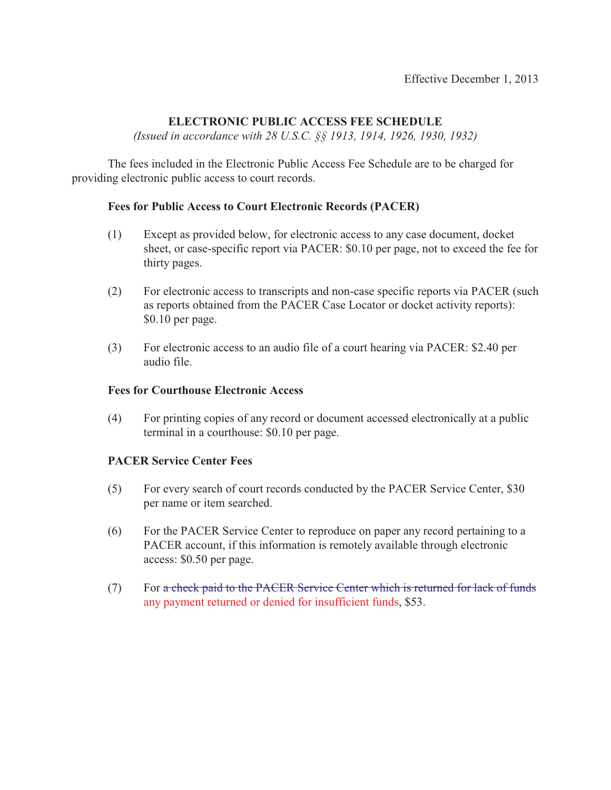#### **ELECTRONIC PUBLIC ACCESS FEE SCHEDULE**

*(Issued in accordance with 28 U.S.C. §§ 1913, 1914, 1926, 1930, 1932)*

The fees included in the Electronic Public Access Fee Schedule are to be charged for providing electronic public access to court records.

#### **Fees for Public Access to Court Electronic Records (PACER)**

- (1) Except as provided below, for electronic access to any case document, docket sheet, or case-specific report via PACER: \$0.10 per page, not to exceed the fee for thirty pages.
- (2) For electronic access to transcripts and non-case specific reports via PACER (such as reports obtained from the PACER Case Locator or docket activity reports): \$0.10 per page.
- (3) For electronic access to an audio file of a court hearing via PACER: \$2.40 per audio file.

#### **Fees for Courthouse Electronic Access**

(4) For printing copies of any record or document accessed electronically at a public terminal in a courthouse: \$0.10 per page.

## **PACER Service Center Fees**

- (5) For every search of court records conducted by the PACER Service Center, \$30 per name or item searched.
- (6) For the PACER Service Center to reproduce on paper any record pertaining to a PACER account, if this information is remotely available through electronic access: \$0.50 per page.
- (7) For a check paid to the PACER Service Center which is returned for lack of funds any payment returned or denied for insufficient funds, \$53.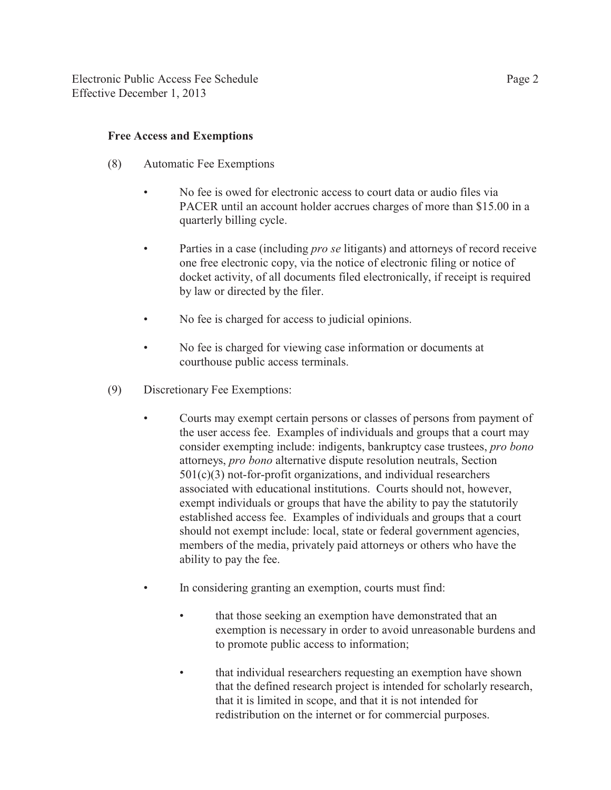#### **Free Access and Exemptions**

- (8) Automatic Fee Exemptions
	- No fee is owed for electronic access to court data or audio files via PACER until an account holder accrues charges of more than \$15.00 in a quarterly billing cycle.
	- Parties in a case (including *pro se* litigants) and attorneys of record receive one free electronic copy, via the notice of electronic filing or notice of docket activity, of all documents filed electronically, if receipt is required by law or directed by the filer.
	- No fee is charged for access to judicial opinions.
	- No fee is charged for viewing case information or documents at courthouse public access terminals.
- (9) Discretionary Fee Exemptions:
	- Courts may exempt certain persons or classes of persons from payment of the user access fee. Examples of individuals and groups that a court may consider exempting include: indigents, bankruptcy case trustees, *pro bono* attorneys, *pro bono* alternative dispute resolution neutrals, Section  $501(c)(3)$  not-for-profit organizations, and individual researchers associated with educational institutions. Courts should not, however, exempt individuals or groups that have the ability to pay the statutorily established access fee. Examples of individuals and groups that a court should not exempt include: local, state or federal government agencies, members of the media, privately paid attorneys or others who have the ability to pay the fee.
	- In considering granting an exemption, courts must find:
		- that those seeking an exemption have demonstrated that an exemption is necessary in order to avoid unreasonable burdens and to promote public access to information;
		- that individual researchers requesting an exemption have shown that the defined research project is intended for scholarly research, that it is limited in scope, and that it is not intended for redistribution on the internet or for commercial purposes.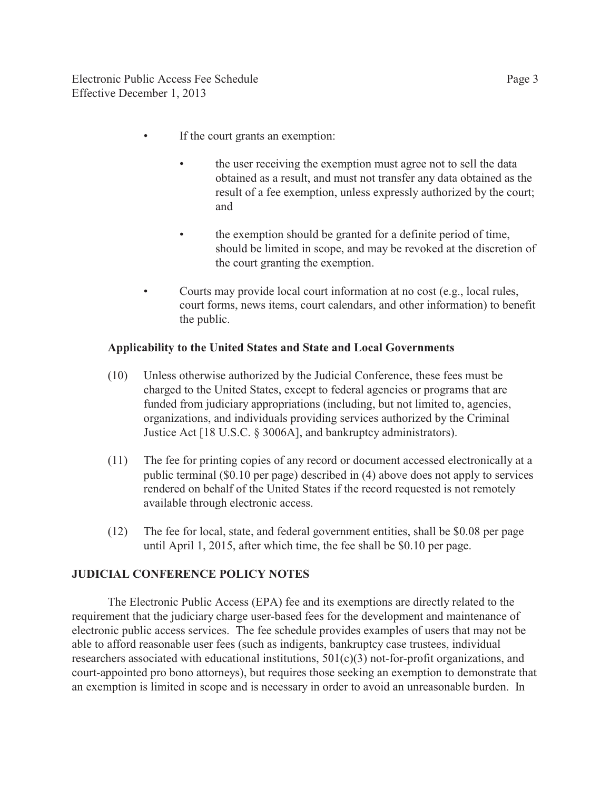- If the court grants an exemption:
	- the user receiving the exemption must agree not to sell the data obtained as a result, and must not transfer any data obtained as the result of a fee exemption, unless expressly authorized by the court; and
	- the exemption should be granted for a definite period of time, should be limited in scope, and may be revoked at the discretion of the court granting the exemption.
	- Courts may provide local court information at no cost (e.g., local rules, court forms, news items, court calendars, and other information) to benefit the public.

#### **Applicability to the United States and State and Local Governments**

- (10) Unless otherwise authorized by the Judicial Conference, these fees must be charged to the United States, except to federal agencies or programs that are funded from judiciary appropriations (including, but not limited to, agencies, organizations, and individuals providing services authorized by the Criminal Justice Act [18 U.S.C. § 3006A], and bankruptcy administrators).
- (11) The fee for printing copies of any record or document accessed electronically at a public terminal (\$0.10 per page) described in (4) above does not apply to services rendered on behalf of the United States if the record requested is not remotely available through electronic access.
- (12) The fee for local, state, and federal government entities, shall be \$0.08 per page until April 1, 2015, after which time, the fee shall be \$0.10 per page.

## **JUDICIAL CONFERENCE POLICY NOTES**

The Electronic Public Access (EPA) fee and its exemptions are directly related to the requirement that the judiciary charge user-based fees for the development and maintenance of electronic public access services. The fee schedule provides examples of users that may not be able to afford reasonable user fees (such as indigents, bankruptcy case trustees, individual researchers associated with educational institutions, 501(c)(3) not-for-profit organizations, and court-appointed pro bono attorneys), but requires those seeking an exemption to demonstrate that an exemption is limited in scope and is necessary in order to avoid an unreasonable burden. In